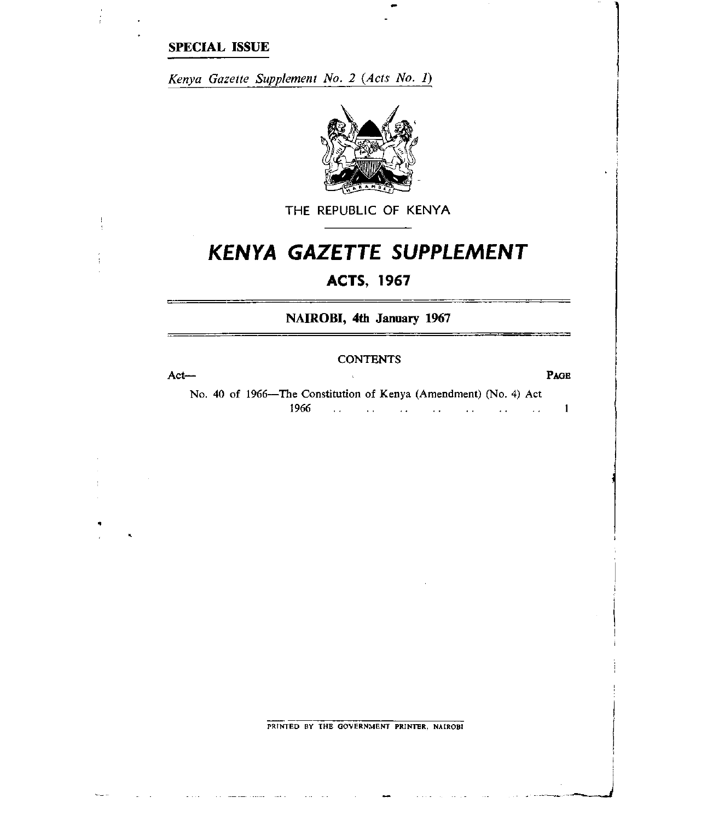## SPECIAL ISSUE

and a

*Kenya Gazette Supplement No. 2 (Acts No. 1)* 



THE REPUBLIC OF KENYA

# **KENYA GAZETTE SUPPLEMENT**

## **ACTS, 1967**

NAIROBI, 4th January 1967

## **CONTENTS**

Act— **PAGE**  No. 40 of 1966—The Constitution of Kenya (Amendment) (No. 4) Act 1966 . . . . . . . . . . . . . . . . . 1

PRIMED BY THE GOVERNMENT PRINTER, NAIROBI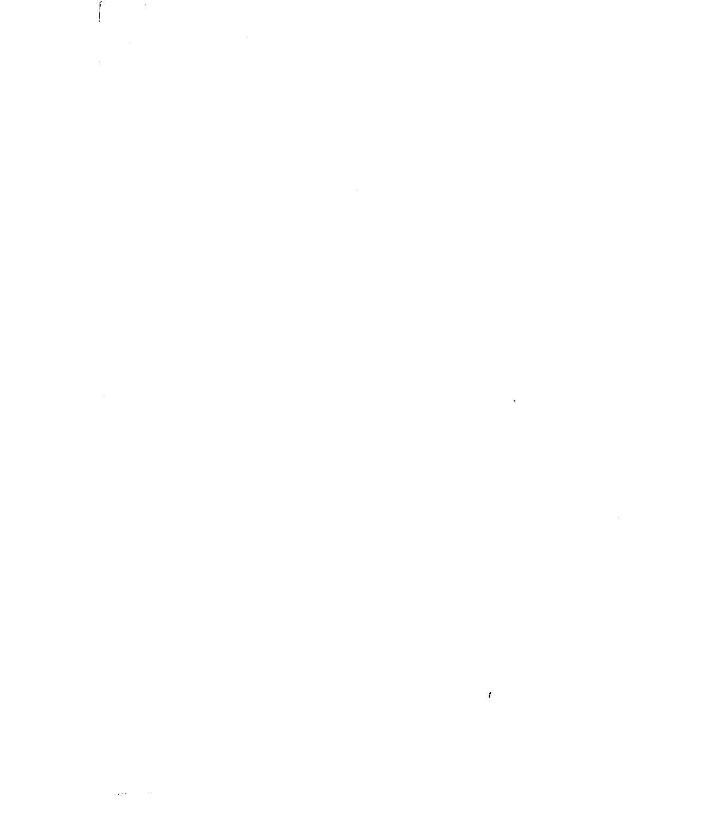$\label{eq:2.1} \frac{1}{\sqrt{2}}\int_{\mathbb{R}^3}\frac{1}{\sqrt{2}}\left(\frac{1}{\sqrt{2}}\right)^2\frac{1}{\sqrt{2}}\left(\frac{1}{\sqrt{2}}\right)^2\frac{1}{\sqrt{2}}\left(\frac{1}{\sqrt{2}}\right)^2.$ 

 $\label{eq:2.1} \frac{1}{\sqrt{2}}\left(\frac{1}{\sqrt{2}}\right)^{2} \left(\frac{1}{\sqrt{2}}\right)^{2} \left(\frac{1}{\sqrt{2}}\right)^{2} \left(\frac{1}{\sqrt{2}}\right)^{2} \left(\frac{1}{\sqrt{2}}\right)^{2} \left(\frac{1}{\sqrt{2}}\right)^{2} \left(\frac{1}{\sqrt{2}}\right)^{2} \left(\frac{1}{\sqrt{2}}\right)^{2} \left(\frac{1}{\sqrt{2}}\right)^{2} \left(\frac{1}{\sqrt{2}}\right)^{2} \left(\frac{1}{\sqrt{2}}\right)^{2} \left(\$ 

 $\label{eq:2.1} \frac{1}{\sqrt{2}}\int_{\mathbb{R}^3}\frac{1}{\sqrt{2}}\left(\frac{1}{\sqrt{2}}\right)^2\frac{1}{\sqrt{2}}\left(\frac{1}{\sqrt{2}}\right)^2\frac{1}{\sqrt{2}}\left(\frac{1}{\sqrt{2}}\right)^2\frac{1}{\sqrt{2}}\left(\frac{1}{\sqrt{2}}\right)^2.$ 

 $\mathcal{L} = \mathcal{L} \mathcal{L} \mathcal{L}$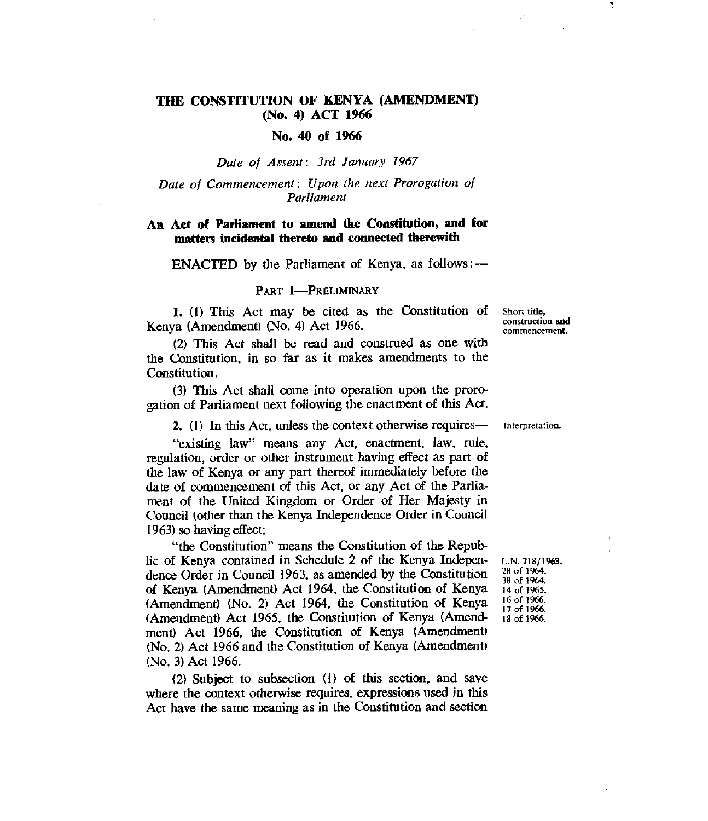## **THE CONSTITUTION OF KENYA (AMENDMENT) (No. 4) ACT 1966**

### **No. 40 of 1966**

#### *Date of Assent: 3rd January 1967*

## *Date of Commencement: Upon the next Prorogation of Parliament*

## **An Act of Parliament to amend the Constitution, and for matters incidental thereto and connected therewith**

**ENACTED** by the Parliament of Kenya, as follows :-

#### PART **I—PRELIMINARY**

**1.** (1) This Act may be cited *as* the Constitution of Kenya (Amendment) (No. 4) Act 1966.

(2) This Act shall be read and construed as one with the Constitution, in so far as it makes amendments to the Constitution.

(3) This Act shall come into operation upon the prorogation of Parliament next following the enactment of this Act.

**2.** (1) In this Act, unless the context otherwise requires— Interpretation.

"existing law" means any Act, enactment, law, rule, regulation, order or other instrument having effect as part of the law of Kenya or any part thereof immediately before the date of commencement of this Act, or any Act of the Parliament of the United Kingdom or Order of Her Majesty in Council (other than the Kenya Independence Order in Council 1963) so having effect;

"the Constitution" means the Constitution of the Republic of Kenya contained in Schedule 2 of the Kenya Independence Order in Council 1963, as amended by the Constitution of Kenya (Amendment) Act 1964, the Constitution of Kenya (Amendment) (No. 2) Act 1964, the Constitution of Kenya (Amendment) Act 1965, the Constitution of Kenya (Amendment) Act 1966, the Constitution of Kenya (Amendment) (No. 2) Act 1966 and the Constitution of Kenya (Amendment) (No. 3) Act 1966.

(2) Subject to subsection (1) of this section, and save where the context otherwise requires, expressions used in this Act have the same meaning as in the Constitution and section

Short title, construction **and**  commencement.

L.N. **718/1963.**  28 of 1964. 38 of **1964. 14** of 1965. 16 of 1966. 17 of 1966. 18 of 1966.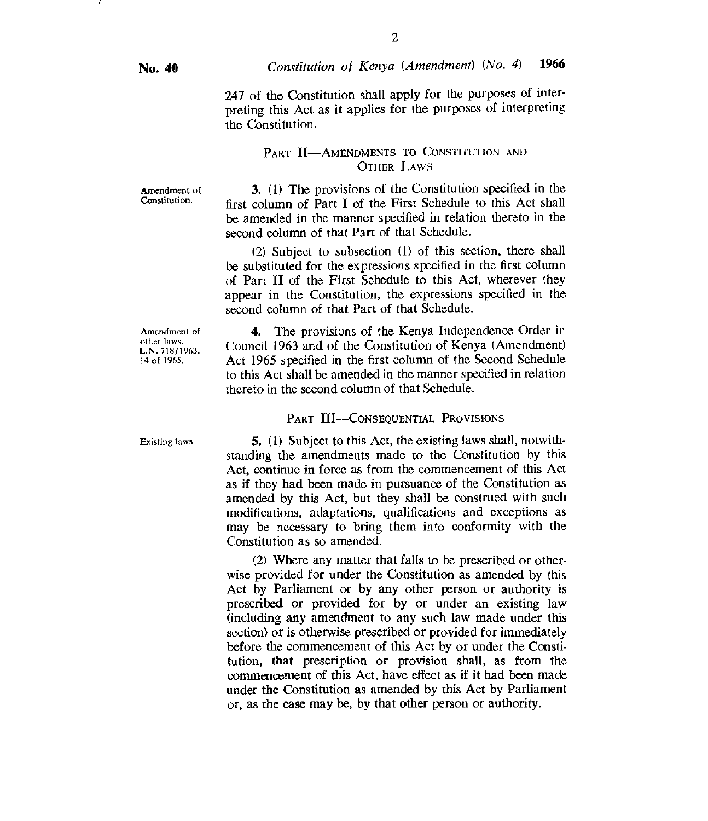247 of the Constitution shall apply for the purposes of interpreting this Act as it applies for the purposes of interpreting the Constitution.

## PART II-AMENDMENTS TO CONSTITUTION AND OTHER LAWS

Amendment of Constitution.

**3. (1)** The provisions of the Constitution specified in the first column of Part I of the First Schedule to this Act shall be amended in the manner specified in relation thereto in the second column of that Part of that Schedule.

(2) Subject to subsection (1) of this section, there shall be substituted for the expressions specified in the first column of Part II of the First Schedule to this Act, wherever they appear in the Constitution, the expressions specified in the second column of that Part of that Schedule.

Amendment of other laws. L.N. 718/1963. 14 of 1965.

Existing laws.

4. The provisions of the Kenya Independence Order in Council 1963 and of the Constitution of Kenya (Amendment) Act 1965 specified in the first column of the Second Schedule to this Act shall be amended in the manner specified in relation thereto in the second column of that Schedule.

## PART **III—CONSEQUENTIAL** PROVISIONS

5. (1) Subject to this Act, the existing laws shall, notwithstanding the amendments made to the Constitution by this Act, continue in force as from the commencement of this Act as if they had been made in pursuance of the Constitution as amended by this Act, but they shall be construed with such modifications, adaptations, qualifications and exceptions as may be necessary to bring them into conformity with the Constitution as so amended.

(2) Where any matter that falls to be prescribed or otherwise provided for under the Constitution as amended by this Act by Parliament or by any other person or authority is prescribed or provided for by or under an existing law (including any amendment to any such law made under this section) or is otherwise prescribed or provided for immediately before the commencement of this Act by or under the Constitution, that prescription or provision shall, as from the commencement of this Act, have effect as if it had been made under the Constitution as amended by this Act by Parliament or, as the case may be, by that other person or authority.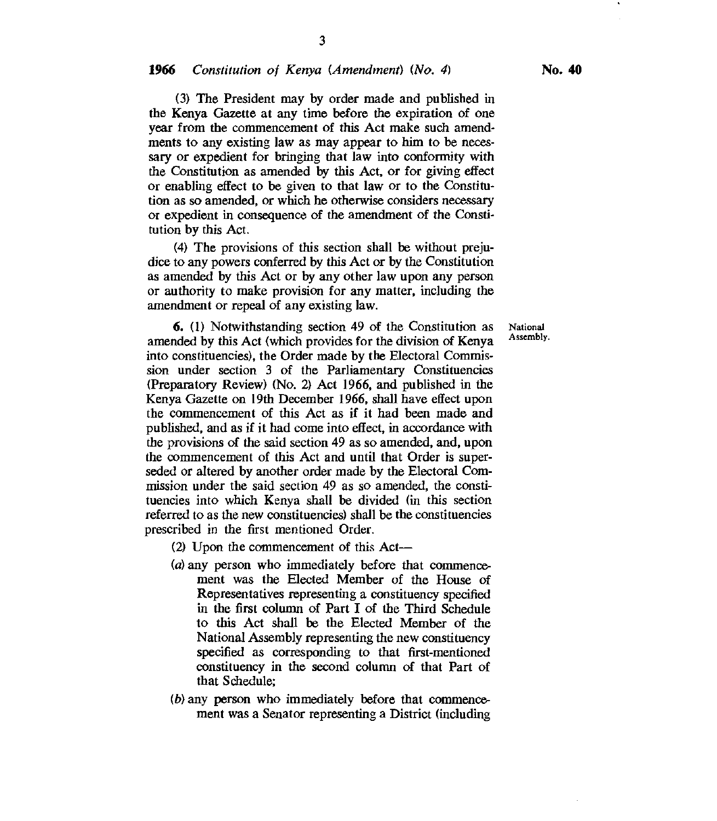(3) The President may by order made and published in the Kenya Gazette at any time before the expiration of one year from the commencement of this Act make such amendments to any existing law as may appear to him to be necessary or expedient for bringing that law into conformity with the Constitution as amended by this Act, or for giving effect or enabling effect to be given to that law or to the Constitution as so amended, or which he otherwise considers necessary or expedient in consequence of the amendment of the Constitution by this Act.

(4) The provisions of this section shall be without prejudice to any powers conferred by this Act or by the Constitution as amended by this Act or by any other law upon any person or authority to make provision for any matter, including the amendment or repeal of any existing law.

**6.** (1) Notwithstanding section 49 of the Constitution as amended by this Act (which provides for the division of Kenya into constituencies), the Order made by the Electoral Commission under section 3 of the Parliamentary Constituencies (Preparatory Review) (No. 2) Act 1966, and published in the Kenya Gazette on 19th December 1966, shall have effect upon the commencement of this Act as if it had been made and published, and as if it had come into effect, in accordance with the provisions of the said section 49 as so amended, and, upon the commencement of this Act and until that Order is superseded or altered by another order made by the Electoral Commission under the said section 49 as so amended, the constituencies into which Kenya shall be divided (in this section referred to as the new constituencies) shall be the constituencies prescribed in the first mentioned Order.

- (2) Upon the commencement of this Act—
- (a)any person who immediately before that commencement was the Elected Member of the House of Representatives representing a constituency specified in the first column of Part I of the Third Schedule to this Act shall be the Elected Member of the National Assembly representing the new constituency specified as corresponding to that first-mentioned constituency in the second column of that Part of that Schedule;
- (b) any person who immediately before that commencement was a Senator representing a District (including

National Assembly.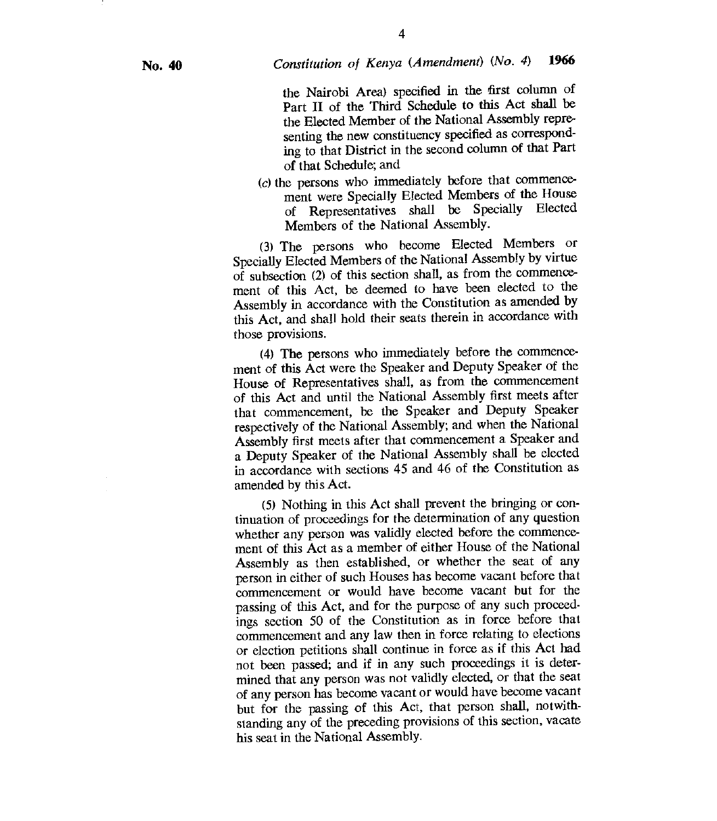the Nairobi Area) specified in the first column of Part II of the Third Schedule to this Act shall be the Elected Member of the National Assembly representing the new constituency specified as corresponding to that District in the second column of that Part of that Schedule; and

*(c)* the persons who immediately before that commencement were Specially Elected Members of the House of Representatives shall be Specially Elected Members of the National Assembly.

(3) The persons who become Elected Members or Specially Elected Members of the National Assembly by virtue of subsection (2) of this section shall, as from the commencement of this Act, be deemed to have been elected to the Assembly in accordance with the Constitution as amended by this Act, and shall hold their seats therein in accordance with those provisions.

(4) The persons who immediately before the commencement of this Act were the Speaker and Deputy Speaker of the House of Representatives shall, as from the commencement of this Act and until the National Assembly first meets after that commencement, be the Speaker and Deputy Speaker respectively of the National Assembly; and when the National Assembly first meets after that commencement a Speaker and a Deputy Speaker of the National Assembly shall be elected in accordance with sections 45 and 46 of the Constitution as amended by this Act.

(5) Nothing in this Act shall prevent the bringing or continuation of proceedings for the determination of any question whether any person was validly elected before the commencement of this Act as a member of either House of the National Assembly as then established, or whether the seat of any person in either of such Houses has become vacant before that commencement or would have become vacant but for the passing of this Act, and for the purpose of any such proceedings section 50 of the Constitution as in force before that commencement and any law then in force relating to elections or election petitions shall continue in force as if this Act had not been passed; and if in any such proceedings it is determined that any person was not validly elected, or that the seat of any person has become vacant or would have become vacant but for the passing of this Act, that person shall, notwithstanding any of the preceding provisions of this section, vacate his seat in the National Assembly.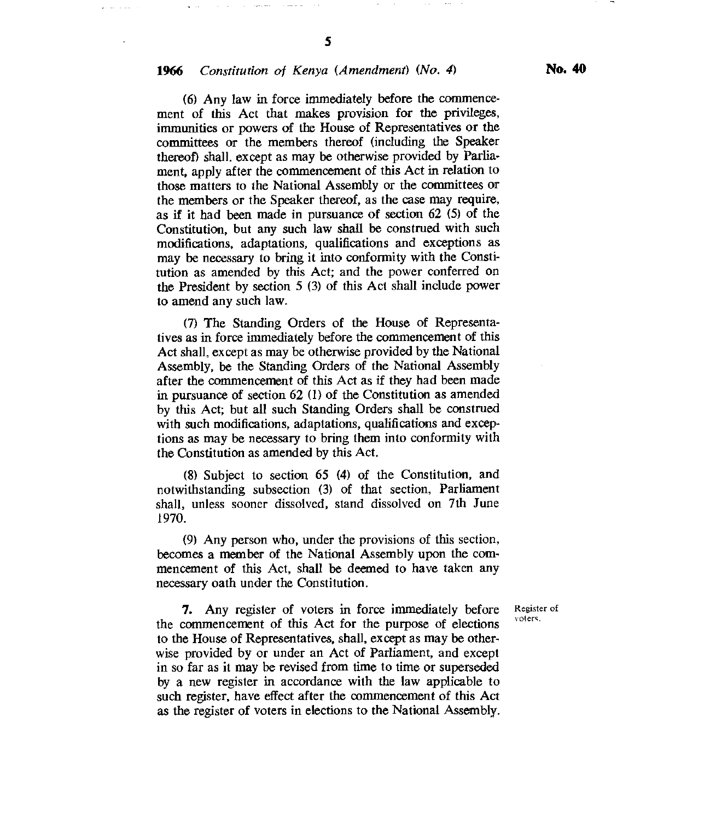and the same

(6) Any law in force immediately before the commencement of this Act that makes provision for the privileges, immunities or powers of the House of Representatives or the committees or the members thereof (including the Speaker thereof) shall, except as may be otherwise provided by Parliament, apply after the commencement of this Act in relation to those matters to the National Assembly or the committees or the members or the Speaker thereof, as the case may require, as if it had been made in pursuance of section 62 (5) of the Constitution, but any such law shall be construed with such modifications, adaptations, qualifications and exceptions as may be necessary to bring it into conformity with the Constitution as amended by this Act; and the power conferred on the President by section 5 (3) of this Act shall include power to amend any such law.

(7) The Standing Orders of the House of Representatives as in force immediately before the commencement of this Act shall, except as may be otherwise provided by the National Assembly, be the Standing Orders of the National Assembly after the commencement of this Act as if they had been made in pursuance of section 62 **(1)** of the Constitution as amended by this Act; but all such Standing Orders shall be construed with such modifications, adaptations, qualifications and exceptions as may be necessary to bring them into conformity with the Constitution as amended by this Act.

(8) Subject to section 65 (4) of the Constitution, and notwithstanding subsection (3) of that section, Parliament shall, unless sooner dissolved, stand dissolved on 7th June 1970.

(9) Any person who, under the provisions of this section, becomes a member of the National Assembly upon the commencement of this Act, shall be deemed to have taken any necessary oath under the Constitution.

> Register of voters.

**7.** Any register of voters in force immediately before the commencement of this Act for the purpose of elections to the House of Representatives, shall, except as may be otherwise provided by or under an Act of Parliament, and except in so far as it may be revised from time to time or superseded by a new register in accordance with the law applicable to such register, have effect after the commencement of this Act as the register of voters in elections to the National Assembly.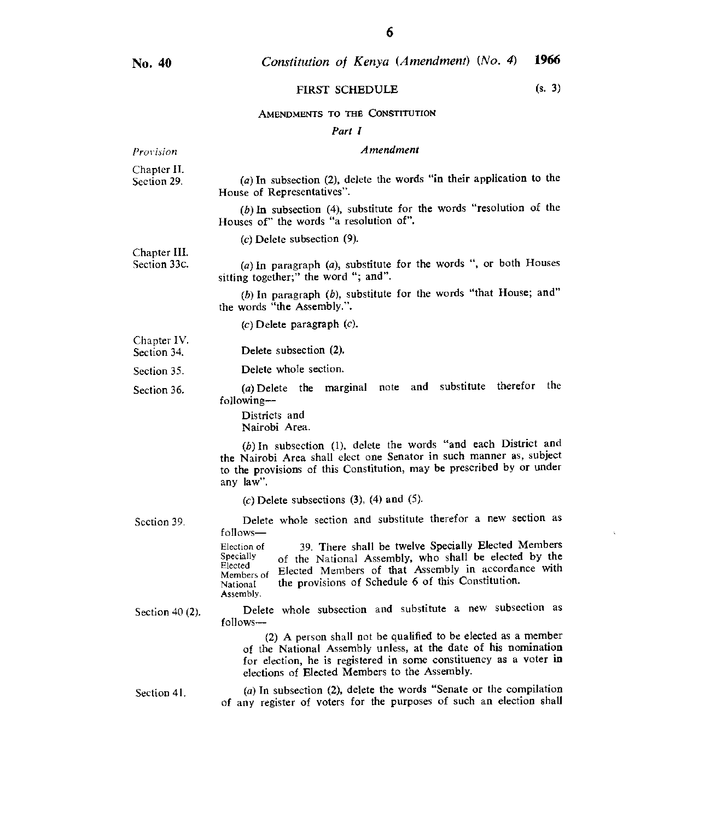#### FIRST SCHEDULE (s. 3)

#### AMENDMENTS TO THE CONSTITUTION

#### Part I

### Provision Amendment

Chapter II.

Section 29.

(a)In subsection (2), delete the words "in their application to the House of Representatives".

(b) In subsection (4), substitute for the words "resolution of the Houses of" the words "a resolution of".

(c) Delete subsection (9).

Chapter III. Section 33c.

(a)In paragraph (a), substitute for the words ", or both Houses sitting together;" the word "; and".

(b) In paragraph (b), substitute for the words "that House; and" the words "the Assembly.".

(c) Delete paragraph *(c).* 

Chapter IV.

- Section 34. Delete subsection (2).
- Section 35. Delete whole section.

Section 36. (a)Delete the marginal note and substitute therefor the following—

> Districts and Nairobi Area.

(b)In subsection (1), delete the words "and each District and the Nairobi Area shall elect one Senator in such manner as, subject to the provisions of this Constitution, may be prescribed by or under any law".

 $(c)$  Delete subsections (3), (4) and (5).

Section 39.

Delete whole section and substitute therefor a new section as follows—

Election of 39. There shall be twelve Specially Elected Members Specially Elected<br>Members of of the National Assembly, who shall be elected by the members of Elected Members of that Assembly in accordance with National the provisions of Schedule 6 of this Constitution. Assembly.

Section 40 (2).

Delete whole subsection and substitute a new subsection as follows—

(2) A person shall not be qualified to be elected as a member of the National Assembly unless, at the date of his nomination for election, he is registered in some constituency as a voter in elections of Elected Members to the Assembly.

Section 41. *(a)* In subsection (2), delete the words "Senate or the compilation of any register of voters for the purposes of such an election shall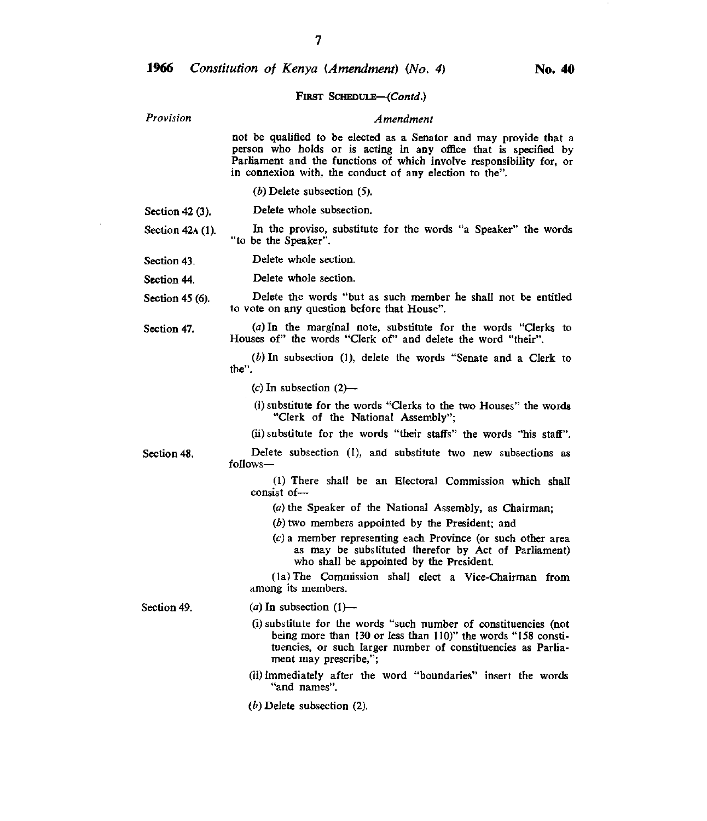$\pm$ 

 $\sim$ 

## **FIRST** *SCHEDULE—(Contd.)*

|                   | $1 \text{ ms}$ $\text{volume}$ (come)                                                                                                                                                                                                                                     |
|-------------------|---------------------------------------------------------------------------------------------------------------------------------------------------------------------------------------------------------------------------------------------------------------------------|
| Provision         | Amendment                                                                                                                                                                                                                                                                 |
|                   | not be qualified to be elected as a Senator and may provide that a<br>person who holds or is acting in any office that is specified by<br>Parliament and the functions of which involve responsibility for, or<br>in connexion with, the conduct of any election to the". |
|                   | $(b)$ Delete subsection $(5)$ .                                                                                                                                                                                                                                           |
| Section $42(3)$ . | Delete whole subsection.                                                                                                                                                                                                                                                  |
| Section 42A (1).  | In the proviso, substitute for the words "a Speaker" the words<br>"to be the Speaker".                                                                                                                                                                                    |
| Section 43.       | Delete whole section.                                                                                                                                                                                                                                                     |
| Section 44        | Delete whole section.                                                                                                                                                                                                                                                     |
| Section 45 (6).   | Delete the words "but as such member he shall not be entitled<br>to vote on any question before that House".                                                                                                                                                              |
| Section 47.       | (a) In the marginal note, substitute for the words "Clerks to<br>Houses of" the words "Clerk of" and delete the word "their".                                                                                                                                             |
|                   | (b) In subsection (1), delete the words "Senate and a Clerk to<br>the".                                                                                                                                                                                                   |
|                   | (c) In subsection $(2)$ —                                                                                                                                                                                                                                                 |
|                   | (i) substitute for the words "Clerks to the two Houses" the words<br>"Clerk of the National Assembly";                                                                                                                                                                    |
|                   | (ii) substitute for the words "their staffs" the words "his staff".                                                                                                                                                                                                       |
| Section 48.       | Delete subsection (1), and substitute two new subsections as<br>follows-                                                                                                                                                                                                  |
|                   | (1) There shall be an Electoral Commission which shall<br>consist of---                                                                                                                                                                                                   |
|                   | (a) the Speaker of the National Assembly, as Chairman;                                                                                                                                                                                                                    |
|                   | $(b)$ two members appointed by the President; and                                                                                                                                                                                                                         |
|                   | $(c)$ a member representing each Province (or such other area<br>as may be substituted therefor by Act of Parliament)<br>who shall be appointed by the President.                                                                                                         |
|                   | (la) The Commission shall elect a Vice-Chairman from<br>among its members.                                                                                                                                                                                                |
| Section 49.       | ( <i>a</i> ) In subsection $(1)$ —                                                                                                                                                                                                                                        |
|                   | (i) substitute for the words "such number of constituencies (not<br>being more than 130 or less than 110)" the words "158 consti-<br>tuencies, or such larger number of constituencies as Parlia-<br>ment may prescribe,";                                                |
|                   | (ii) immediately after the word "boundaries" insert the words<br>"and names".                                                                                                                                                                                             |
|                   | $(b)$ Delete subsection $(2)$ .                                                                                                                                                                                                                                           |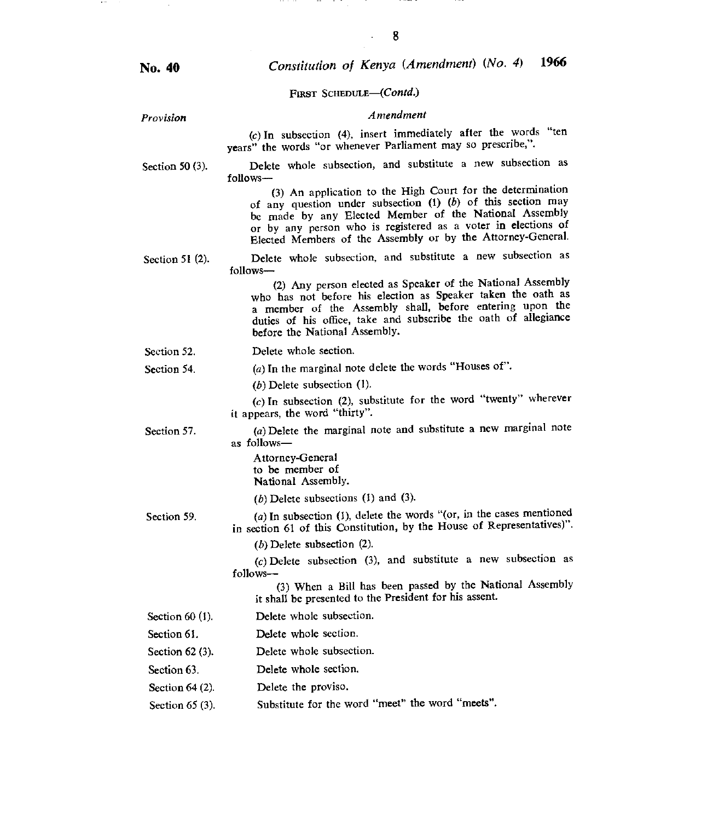**No. 40** *Constitution of Kenya (Amendment) (No. 4)* **<sup>1966</sup>**

#### FIRST SCHEDULE—(Contd.)

Provision Amendment  $(c)$  In subsection (4), insert immediately after the words "ten years" the words "or whenever Parliament may so prescribe,". Section 50 (3). Delete whole subsection, and substitute a new subsection as follows— (3) An application to the High Court for the determination of any question under subsection  $(1)$   $(b)$  of this section may be made by any Elected Member of the National Assembly or by any person who is registered as a voter in elections of Elected Members of the Assembly or by the Attorney-General. Section 51 (2). Delete whole subsection, and substitute a new subsection as follows— (2) Any person elected as Speaker of the National Assembly who has not before his election as Speaker taken the oath as a member of the Assembly shall, before entering upon the duties of his office, take and subscribe the oath of allegiance before the National Assembly. Section 52. Delete whole section. Section 54. *(a)* In the marginal note delete the words "Houses of".  $(b)$  Delete subsection  $(1)$ . (c) In subsection (2), substitute for the word "twenty" wherever it appears, the word "thirty". Section 57. (a) Delete the marginal note and substitute a new marginal note as follows-Attorney-General to be member of National Assembly. (b) Delete subsections (1) and (3). Section 59. (a) In subsection (1), delete the words "(or, in the cases mentioned in section 61 of this Constitution, by the House of Representatives)".  $(b)$  Delete subsection  $(2)$ .  $(c)$  Delete subsection (3), and substitute a new subsection as follows— (3) When a Bill has been passed by the National Assembly it shall be presented to the President for his assent. Section 60 (1). Delete whole subsection. Section 61. Delete whole section. Section 62 (3). Delete whole subsection. Section 63. Delete whole section. Section 64 (2). Delete the proviso.

Section 65 (3). Substitute for the word "meet" the word "meets".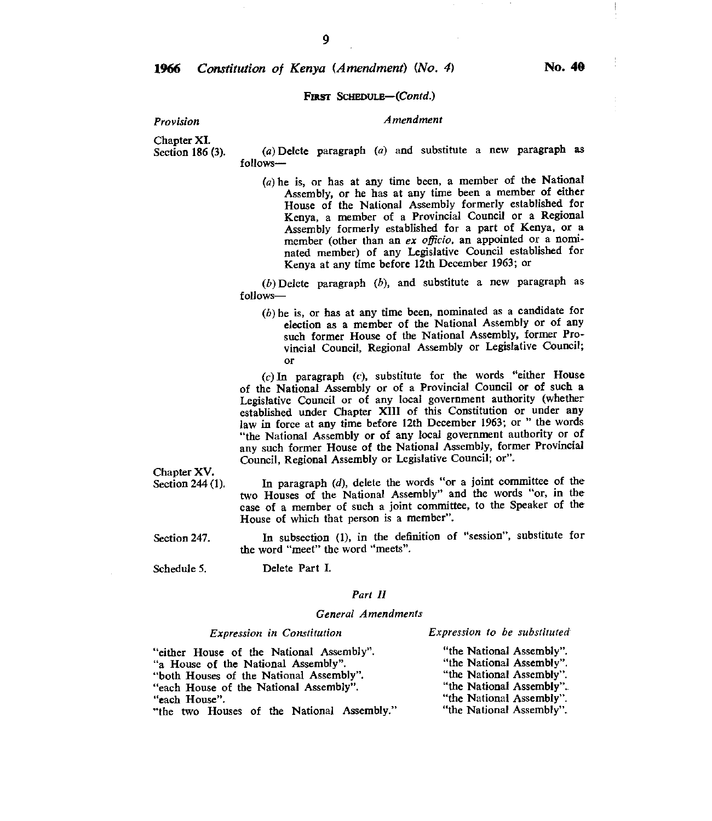#### **FIRST** SCHEDULE-(Contd.)

#### *Provision Amendment*

Chapter XI.

Section 186 (3).

(a) Delete paragraph *(a)* and substitute a new paragraph as follows—

 $(a)$ he is, or has at any time been, a member of the National Assembly, or he has at any time been a member of either House of the National Assembly formerly established for Kenya, a member of a Provincial Council or a Regional Assembly formerly established for a part of Kenya, or a member (other than an ex *officio,* an appointed or a nominated member) of any Legislative Council established for Kenya at any time before 12th December 1963; or

*(b) Delete* paragraph *(b),* and substitute a new paragraph as follows—

*(b)* he is, or has at any time been, nominated as a candidate for election as a member of the National Assembly or of any such former House of the National Assembly, former Provincial Council, Regional Assembly or Legislative Council; or

(c)In paragraph *(c),* substitute for the words "either House of the National Assembly or of a Provincial Council or of such *a*  Legislative Council or of any local government authority (whether established under Chapter XIII of this Constitution or under any law in force at any time before 12th December 1963; or " the words "the National Assembly or of any local government authority or of any such former House of the National Assembly, former Provincial Council, Regional Assembly or Legislative Council; or".

Chapter XV.<br>Section 244 (1).

In paragraph (d), delete the words "or a joint committee of the two Houses of the National Assembly" and the words "or, in the case of a member of such a joint committee, to the Speaker of the House of which that person is a member".

Section 247. In subsection (1), in the definition of "session", substitute for the word "meet" the word "meets".

Schedule 5. Delete Part I.

#### *Part II*

#### *General Amendments*

#### *Expression in Constitution*

*Expression to be substituted* 

| "either House of the National Assembly".   | "the National Assembly". |  |  |
|--------------------------------------------|--------------------------|--|--|
| "a House of the National Assembly".        | "the National Assembly". |  |  |
| "both Houses of the National Assembly".    | "the National Assembly". |  |  |
| "each House of the National Assembly".     | "the National Assembly". |  |  |
| "each House".                              | "the National Assembly". |  |  |
| "the two Houses of the National Assembly." | "the National Assembly". |  |  |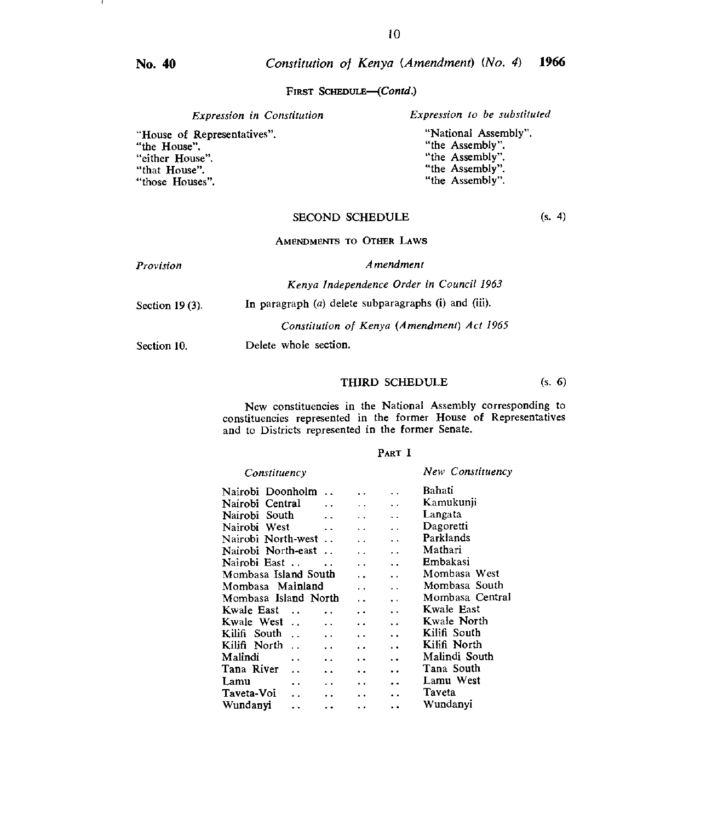#### FIRST SCHEDULE-(Contd.)

"House of Representatives". "the House". "either House". "that House". "those Houses".

#### *Expression in Constitution Expression to be substituted*

"National Assembly". "the Assembly". "the Assembly". "the Assembly". "the Assembly".

#### SECOND SCHEDULE

AMENDMENTS TO OTHER LAWS

| Provision       | Amendment                                                   |
|-----------------|-------------------------------------------------------------|
|                 | Kenya Independence Order in Council 1963                    |
| Section 19 (3). | In paragraph $(a)$ delete subparagraphs $(i)$ and $(iii)$ . |
|                 | Constitution of Kenya (Amendment) Act 1965                  |
| Section 10.     | Delete whole section.                                       |

#### THIRD SCHEDULE (s. 6)

New constituencies in the National Assembly corresponding to constituencies represented in the former House of Representatives and to Districts represented in the former Senate.

#### PART I

*Constituency New Constituency*  Nairobi Doonholm . . . . . Bahati<br>Nairobi Central .. . . . . Kamukunji Nairobi Central (American Control of Tamuku<br>Nairobi South (American Control Langata) Nairobi South (1992)<br>
Nairobi West (1993)<br>
1991 - Magnetti (1993)<br>
Magnetti (1994)<br>
Cagoretti (1994)<br>
Cagoretti (1994)<br>
Cagoretti (1994) Nairobi West ... ... Dagoretti<br>Nairobi North-west ... ... Parklands Nairobi North-west ... ... Parkland<br>Nairobi North-east ... ... ... Mathari Nairobi North-east . . . . . Mathari<br>Nairobi East . . . . . . . . Embakasi Nairobi East .. .. .. .. Embakasi<br>Mombasa Island South .. .. Mombasa West Mombasa Island South (a) Mombasa West<br>
Mombasa Mainland (b) (a) Mombasa South Mombasa Mainland (m. 1988).<br>Mombasa Island North (m. 1988). Mombasa Central Mombasa Island North (M. 1988).<br>
Kwale East (M. 1988). Mwale East Kwale East . . . . . . . Kwale East<br>
Kwale West . . . . . . . Kwale North Kwale West .. .. .. .. Kwale North<br>Kilifi South ... .. .. .. Kilifi South Kilifi South • • • • • • • Kilifi South Kilifi North • • • • • • • • Kilifi North Kilifi North .. .. .. .. ..<br>Malindi .. .. .. .. .. .. .. Malindi South<br>
.. .. .. Tana South Tana River .. .. .. ..<br>Lamu .. .. .. .. 1. . . . . . Lamu West Taveta-Voi . . . . . Taveta<br>Wundanyi . . . . . . Wundanyi Wundanyi . . . . . . . .

(s. 4)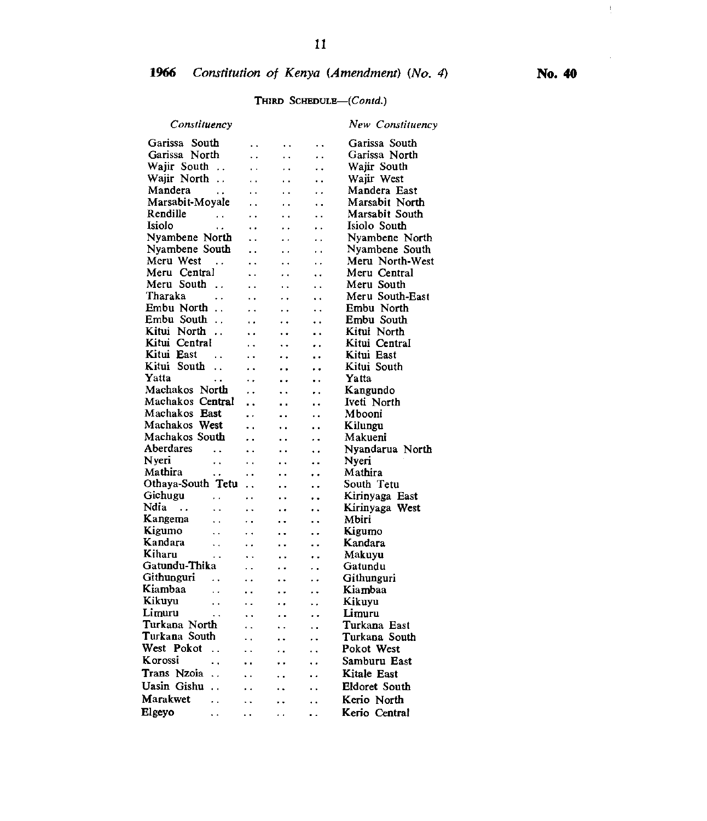## THIRD SCHEDULE-(Contd.)

## *Constituency New Constituency*

| Garissa South                                   | $\ddot{\phantom{1}}$ | . .                  | . .                  | Garissa South        |
|-------------------------------------------------|----------------------|----------------------|----------------------|----------------------|
| Garissa North                                   | . .                  | Ω.                   | . .                  | Garissa North        |
| Wajir South<br>$\sim$ .                         | $\ddot{\phantom{0}}$ | . .                  | . .                  | Wajir South          |
| Wajir North<br>$\ddotsc$                        | . .                  | $\ddot{\phantom{a}}$ | . .                  | Wajir West           |
| Mandera<br>$\sim$                               |                      | . .                  | μ.                   | Mandera East         |
| Marsabit-Moyale                                 |                      | . .                  | . .                  | Marsabit North       |
| Rendille<br>$\sim$ .                            | . .                  | ٠.                   | . .                  | Marsabit South       |
| Isiolo<br>$\ddot{\phantom{0}}$                  | . .                  | . .                  | $\ddot{\phantom{0}}$ | Isiolo South         |
| Nyambene North                                  | . .                  | . .                  | . .                  | Nvambene North       |
| Nvambene South                                  | $\ddot{\phantom{0}}$ | $\ddot{\phantom{0}}$ | . .                  | Nyambene South       |
| Meru West<br>$\ddotsc$                          | $\ddot{\phantom{1}}$ | . .                  | $\ddot{\phantom{0}}$ | Meru North-West      |
| Meru Central                                    | Ω.                   | . .                  | . .                  | Meru Central         |
| Meru South<br>$\sim$                            | . .                  | $\ddot{\phantom{a}}$ | . .                  | Meru South           |
| Tharaka<br>$\sim$                               | ٠.                   | . .                  | . .                  | Meru South-East      |
| Embu North                                      | . .                  | $\ddot{\phantom{0}}$ | . .                  | Embu North           |
| Embu South                                      | . .                  | . .                  | . .                  | Embu South           |
| Kitui North<br>$\ddot{\phantom{a}}$             | . .                  | . .                  | . .                  | Kitui North          |
| Kitui Central                                   |                      | . .                  | . .                  | Kitui Central        |
| Kitui East<br>. .                               | . .                  | . .                  | $\ddot{\phantom{0}}$ | Kitui East           |
| Kitui South<br>$\ddot{\phantom{a}}$             | . .                  |                      |                      | Kitui South          |
| Yatta<br>. .                                    | . .                  | . .                  | . .                  | Yatta                |
| Machakos North                                  |                      | . .                  | . .                  | Kangundo             |
| Machakos Central                                | . .                  | . .                  | . .                  | Iveti North          |
| Machakos East                                   | Ω.                   | Ω.                   | . .                  | Mbooni               |
| Machakos West                                   | . .                  | .,                   | . .                  |                      |
| Machakos South                                  | ٠.                   | ٠.                   | . .                  | Kilungu              |
| <b>Aberdares</b>                                | . .                  |                      | . .                  | Makueni              |
| $\ddot{\phantom{a}}$                            | . .                  | . .                  | . .                  | Nyandarua North      |
| Nyeri<br>$\ddot{\phantom{0}}$                   | ٠.                   | . .                  | . .                  | Nyeri                |
| Mathira<br>. .                                  | . .                  | . .                  | . .                  | Mathira              |
| Othaya-South Tetu                               | . .                  |                      | . .                  | South Tetu           |
| Gichugu<br>$\ddot{\phantom{a}}$                 | . .                  | . .                  | . .                  | Kirinyaga East       |
| Ndia<br>$\sim$ 10 $\mu$<br>$\ddot{\phantom{a}}$ | . .                  | . .                  | . .                  | Kirinyaga West       |
| Kangema<br>$\sim$ $\sim$                        | ٠.                   | . .                  | ٠.                   | Mbiri                |
| Kigumo<br>$\sim$ $\sim$                         | . .                  | . .                  | . .                  | Kigumo               |
| Kandara<br>$\ddot{\phantom{a}}$                 | . .                  | . .                  |                      | Kandara              |
| Kiharu<br>$\ddot{\phantom{0}}$                  | ٠.                   | . .                  | . .                  | Makuyu               |
| Gat <b>undu-Thi</b> ka                          | . .                  | . .                  | . .                  | Gatundu              |
| Githunguri<br>$\ddots$                          | . .                  |                      | . .                  | Githunguri           |
| Kiambaa<br>$\ddots$                             | . .                  |                      | . .                  | Kiambaa              |
| Kikuyu<br>$\ddot{\phantom{a}}$                  | . .                  | . .                  | . .                  | Kikuyu               |
| Limuru<br>$\ddot{\phantom{0}}$                  | . .                  | ٠.                   | . .                  | Limuru               |
| Turkana North                                   | 44                   | ٠.                   | $\ddot{\phantom{a}}$ | Turkana East         |
| Turkana South                                   | ٠.                   | . .                  | . .                  | Turkana South        |
| West Pokot                                      | . .                  | . .                  | . .                  | Pokot West           |
| K orossi<br>. .                                 | . .                  | . .                  | . .                  | Samburu East         |
| Trans Nzoia<br>$\sim$                           | . .                  | . .                  | . .                  | Kitale East          |
| Uasin Gishu<br>$\ddot{\phantom{a}}$             | . .                  | . .                  | . .                  | <b>Eldoret South</b> |
| Marakwet<br>. .                                 | $\ddot{\phantom{0}}$ |                      | . .                  | Kerio North          |
| Elgeyo                                          |                      |                      |                      | Kerio Central        |
| $\ddot{\phantom{a}}$                            | $\ddot{\phantom{1}}$ | $\ddot{\phantom{1}}$ | Ω.                   |                      |

 $\frac{1}{2}$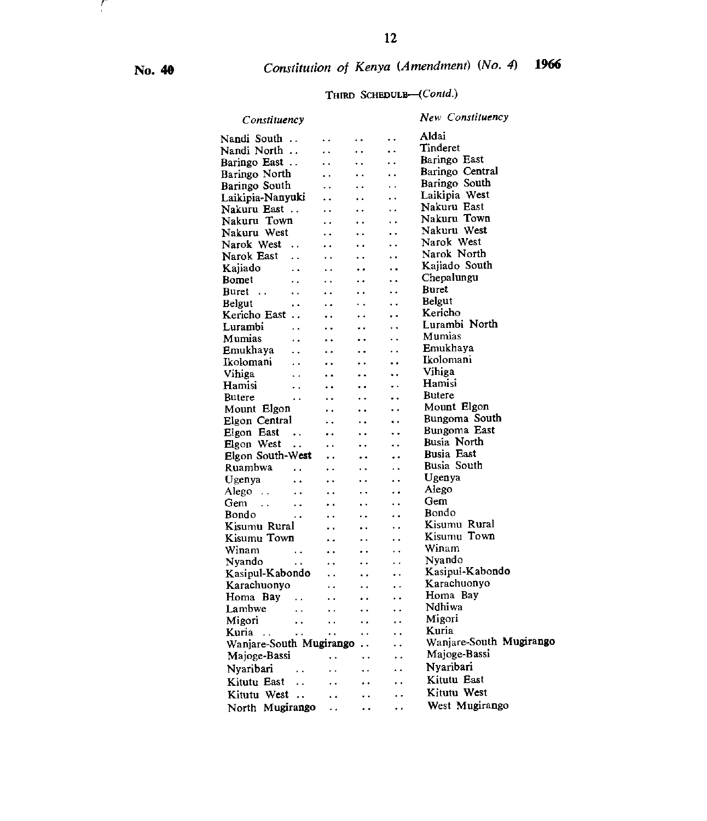$\frac{1}{2}$ 

# No. **40** *Constitution of Kenya (Amendment) (No. 4)* **<sup>1966</sup>**

## THIRD SCHEDULE-(Contd.)

| Constituency                                                             |                        |                         |                      | New Constituency        |
|--------------------------------------------------------------------------|------------------------|-------------------------|----------------------|-------------------------|
| Nandi South<br>$\ddot{\phantom{0}}$                                      |                        | $\ddot{\phantom{0}}$    | $\ddot{\phantom{0}}$ | Aldai                   |
| Nandi North<br>$\cdot$                                                   |                        | $\ddot{\phantom{0}}$    | $\ddot{\phantom{a}}$ | Tinderet                |
| Baringo East<br>$\ddot{\phantom{0}}$                                     |                        | $\ddot{\phantom{0}}$    | $\ddot{\phantom{0}}$ | Baringo East            |
| Baringo North<br>$\ddot{\phantom{0}}$                                    |                        | $\ddot{\phantom{1}}$ .  | . .                  | Baringo Central         |
| Baringo South<br>$\ddot{\phantom{a}}$                                    |                        | $\ddot{\phantom{0}}$    | $\ddot{\phantom{0}}$ | Baringo South           |
| Laikipia-Nanyuki<br>$\ddot{\phantom{a}}$                                 |                        | $\ddot{\phantom{0}}$    | $\ddot{\phantom{0}}$ | Laikipia West           |
| Nakuru East<br>. .                                                       |                        | $\ddot{\phantom{a}}$    | . .                  | Nakuru East             |
| Nakuru Town<br>$\ddot{\phantom{a}}$                                      |                        | $\ddot{\phantom{a}}$    | $\ddot{\phantom{0}}$ | Nakuru Town             |
| Nakuru West<br>$\ddot{\phantom{a}}$                                      |                        | $\ddotsc$               | $\ddot{\phantom{1}}$ | Nakuru West             |
| Narok West<br>$\ddot{\phantom{0}}$                                       |                        | $\ddot{\phantom{1}}$    | $\ddot{\phantom{a}}$ | Narok West              |
| Narok East<br>$\ddot{\phantom{a}}$                                       |                        | $\ddot{\phantom{1}}$    | $\ddot{\phantom{0}}$ | Narok North             |
| Kajiado -<br>$\sim$ .<br>$\ddot{\phantom{0}}$                            |                        | $\ddot{\phantom{0}}$    | $\ddot{\phantom{0}}$ | Kajiado South           |
| Bomet<br>$\ddotsc$<br>$\ddot{\phantom{0}}$                               |                        | $\ddot{\phantom{0}}$    | . .                  | Chepalungu              |
| Buret<br>$\ddotsc$<br>$\ddot{\phantom{0}}$                               |                        | $\ddot{\phantom{0}}$    | $\ddot{\phantom{0}}$ | Buret                   |
|                                                                          |                        | $\bullet$ .             | $\ddot{\phantom{0}}$ | Belgut                  |
| Belgut<br>$\ddot{\phantom{a}}$ .<br>$\ddot{\phantom{0}}$<br>Kericho East |                        |                         | $\ddot{\phantom{0}}$ | Kericho                 |
| $\ddotsc$                                                                |                        | $\ddot{\phantom{0}}$    | $\ddot{\phantom{0}}$ | Lurambi North           |
| Lurambi<br>$\sim$ $\sim$                                                 | $\ddot{\phantom{1}}$   | $\ddot{\phantom{0}}$    |                      | Mumias                  |
| Mumias<br>$\sim 100$                                                     | i.                     | $\ddot{\phantom{a}}$    | $\ddot{\phantom{a}}$ | Emukhaya                |
| Emukhaya<br>Ikolomani                                                    | $\bar{\epsilon}$       | $\ddot{\phantom{a}}$    | $\ddot{\phantom{0}}$ | Ikolomani               |
|                                                                          | $\ddotsc$              | $\ddot{\phantom{a}}$    | $\ddot{\phantom{a}}$ | Vihiga                  |
| Vihiga<br>$\sim$ $\sim$                                                  | $\ddot{\phantom{a}}$   | $\ddot{\phantom{0}}$    | $\ddot{\phantom{1}}$ | Hamisi                  |
| Hamisi<br>$\ddot{\phantom{0}}$                                           | $\ddot{\phantom{1}}$   | $\ddot{\phantom{0}}$    | $\ddot{\phantom{0}}$ | <b>Butere</b>           |
| <b>Butere</b><br>$\ddot{\phantom{a}}$ .                                  | $\ddot{\phantom{a}}$   | $\ddot{\phantom{0}}$    | . .                  |                         |
| Mount Elgon                                                              | $\ddot{\phantom{0}}$   | $\ddot{\phantom{0}}$    | . .                  | Mount Elgon             |
| Elgon Central                                                            | $\ddot{\phantom{a}}$   | $\ddot{\phantom{0}}$    | . .                  | Bungoma South           |
| Elgon East.                                                              | $\ddot{\phantom{0}}$   | $\ddot{\phantom{0}}$    | . .                  | Bungoma East            |
| Elgon West $\ldots$                                                      | $\ddot{\phantom{0}}$   | $\ddot{\phantom{0}}$    | ٠.                   | Busia North             |
| Elgon South-West                                                         | $\ddot{\phantom{a}}$ . | $\ddot{\phantom{a}}$    | $\ddot{\phantom{a}}$ | <b>Busia East</b>       |
| Ruambwa<br>$\sim 100$ km s $^{-1}$                                       | $\ddot{\phantom{1}}$   | $\ddot{\phantom{a}}$    | ٠.                   | Busia South             |
| Ugenya<br>$\sim 10^{-1}$                                                 | $\sim$ $\sim$          | $\ddot{\phantom{1}}$    | $\ddot{\phantom{1}}$ | Ugenya                  |
| Alego<br>$\sim$ $\sim$                                                   | $\ddot{\phantom{a}}$ . | $\ddot{\phantom{0}}$    | $\ddot{\phantom{0}}$ | Alego                   |
| Gem<br>$\sim$ $\sim$                                                     | $\ddot{\phantom{0}}$   | $\ddot{\phantom{0}}$    | . .                  | Gem                     |
| Bondo<br>$\ddots$                                                        | $\ddot{\phantom{0}}$   | $\ddot{\phantom{0}}$    | . .                  | Bondo                   |
| Kisumu Rural                                                             | $\ddot{\phantom{0}}$   | $\ddot{\phantom{0}}$    | $\ddot{\phantom{0}}$ | Kisumu Rural            |
| Kisumu Town                                                              | $\ddot{\phantom{a}}$   | $\ddot{\phantom{a}}$    | . .                  | Kisumu Town             |
| Winam                                                                    | $\ddot{\phantom{a}}$   | $\ddot{\phantom{0}}$    | $\ddot{\phantom{a}}$ | Winam                   |
| $\frac{1}{2}$ , $\frac{1}{2}$ , $\frac{1}{2}$<br>Nyando                  | $\sim$ $\sim$          | $\ddot{\phantom{0}}$    | . .                  | Nyando                  |
| Kasipul-Kabondo                                                          | $\ddot{\phantom{a}}$   | $\ddot{\phantom{0}}$    | $\ddotsc$            | Kasipul-Kabondo         |
| Karachuonyo                                                              | $\sim$                 | $\ddot{\phantom{0}}$    | $\ddot{\phantom{1}}$ | Karachuonvo             |
| Homa Bay                                                                 | $\ddot{\phantom{a}}$ . | $\ddot{\phantom{0}}$    | . .                  | Homa Bay                |
| Lambwe<br>$\sim 10^{-1}$                                                 | $\ddotsc$              | $\ddot{\phantom{a}}$    | . .                  | Ndhiwa                  |
| Migori<br>$\ddotsc$                                                      | $\ddotsc$              | $\ddot{\phantom{0}}$    | $\ddot{\phantom{0}}$ | Migori                  |
| Kuria<br>$\sim$ $\sim$                                                   | $\ddotsc$              | $\ddot{\phantom{0}}$    | . .                  | Kuria                   |
| Wanjare-South Mugirango                                                  |                        |                         | $\ddot{\phantom{0}}$ | Wanjare-South Mugirango |
| Majoge-Bassi                                                             | $\Delta$ - $\Delta$    | $\sim 100$ km s $^{-1}$ | . .                  | Majoge-Bassi            |
| Nyaribari<br><b>Contractor</b>                                           | $\ddot{\phantom{a}}$ . | $\ddot{\phantom{a}}$    | . .                  | Nvaribari               |
| Kitutu East                                                              | $\sim 10^7$            | $\ddot{\phantom{1}}$ .  | $\ddot{\phantom{0}}$ | Kitutu East             |
|                                                                          |                        |                         |                      | Kitutu West             |
| Kitutu West                                                              | $\ddot{\phantom{0}}$   | $\ddot{\phantom{1}}$    | $\ddot{\phantom{0}}$ |                         |
| North Mugirango                                                          | $\ddotsc$              | $\ddot{\phantom{0}}$    | . .                  | West Mugirango          |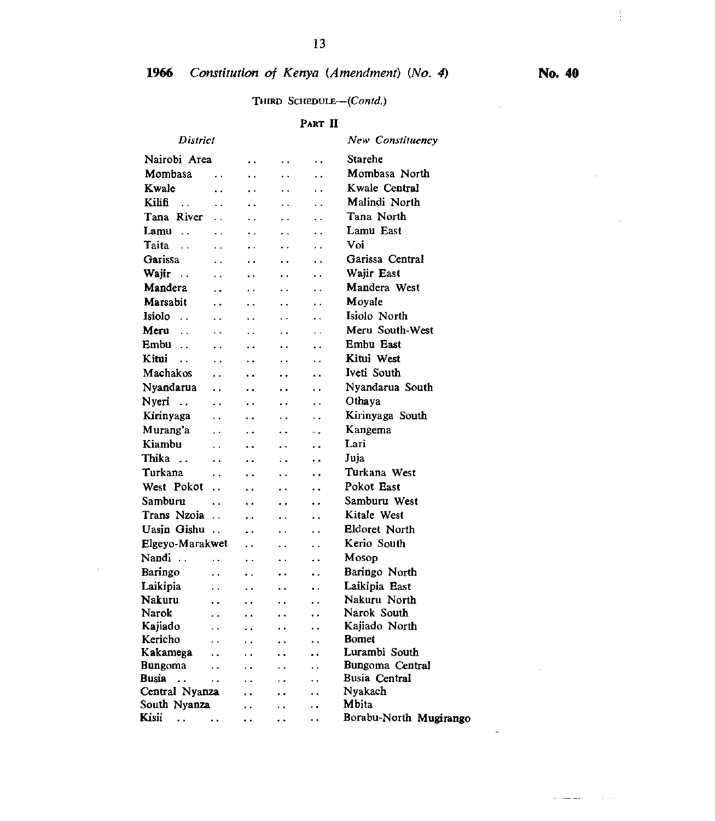## **THIRD SCHEDULE—(Contd.)**

## **PART II**

| District                                                  |                                              |                      |                             | New Constituency              |
|-----------------------------------------------------------|----------------------------------------------|----------------------|-----------------------------|-------------------------------|
| Nairobi Area                                              | . .                                          | . .                  | . .                         | Starehe                       |
| Mombasa<br>$\ddot{\phantom{0}}$                           | $\ddot{\phantom{0}}$                         | . .                  | $\ddot{\phantom{0}}$        | Mombasa North                 |
| Kwale<br>. .                                              | $\ddot{\phantom{1}}$                         | ٠.                   | . .                         | Kwale Central                 |
| Kilifi<br>$\sim 10$<br>$\ddot{\phantom{0}}$               | $\ddot{\phantom{0}}$                         | a.                   | $\sim$                      | Malindi North                 |
| Tana River<br>$\ddot{\phantom{0}}$                        | $\ddotsc$                                    | $\ddot{\phantom{a}}$ | . .                         | Tana North                    |
| Lamu<br>$\ddot{\phantom{1}}$                              | $\ddot{\phantom{0}}$                         | . .                  | . .                         | Lamu East                     |
| Taita<br>$\sim$<br>$\ddot{\phantom{a}}$                   | $\ddot{\phantom{a}}$                         | $\ddot{\phantom{1}}$ | ٠.                          | Voi                           |
| Garissa<br>$\ddot{\phantom{0}}$                           | $\ddot{\phantom{0}}$                         | . .                  | μ,                          | Garissa Central               |
| Wajir<br>$\sim$<br>$\ddot{\phantom{0}}$                   | $\ddot{\phantom{0}}$                         | $\ddot{\phantom{0}}$ | μ.                          | Waiir East                    |
| Mandera<br>z.                                             | $\ddot{\phantom{a}}$                         | .,                   | . .                         | Mandera West                  |
| Marsabit<br>$\ddot{\phantom{0}}$                          | $\ddot{\phantom{a}}$                         | $\ddot{\phantom{a}}$ | $\ddot{\phantom{0}}$        | Movale                        |
| Isiolo<br>$\ddot{\phantom{0}}$                            | $\ddot{\phantom{0}}$                         | $\ddot{\phantom{0}}$ | . .                         | Isiolo North                  |
| Meru<br>$\sim 10$<br>$\sim$ $\sim$                        | $\sim$ $\sim$                                | $\ddot{\phantom{1}}$ | έ.                          | Meru South-West               |
| $Embu$ .<br>$\ddot{\phantom{a}}$                          | $\ddot{\phantom{a}}$                         | ٠.                   | . .                         | Embu East                     |
| Kitui<br>$\cdot$ .<br>$\ddot{\phantom{0}}$                | $\ddot{\phantom{0}}$                         | . .                  | . .                         | Kitui West                    |
| Machakos<br>$\ddot{\phantom{a}}$                          | Ω.                                           | ٠.                   | . .                         | Iveti South                   |
| Nyandarua<br>$\ddot{\phantom{a}}$                         | $\ddot{\phantom{0}}$                         | $\epsilon$ .         | . .                         | Nyandarua South               |
| Nyeri<br>$\ddots$<br>$\ddot{\phantom{0}}$                 | $\ddot{\phantom{0}}$                         | $\ddot{\phantom{0}}$ | . .                         | Othaya                        |
| Kirinyaga<br>И.                                           | $\ddot{\phantom{0}}$                         | . .                  | . .                         | Kirinyaga South               |
| Murang'a<br>$\ddot{\phantom{a}}$                          | $\ddot{\phantom{0}}$                         | $\ddot{\phantom{0}}$ | ٠.                          | Kangema                       |
| Kiambu<br>$\ddot{\phantom{0}}$                            | . .                                          | . .                  | . .                         | Lari                          |
| Thika<br>$\ddot{\phantom{a}}$                             | $\ddot{\phantom{0}}$                         | $\ddot{\phantom{0}}$ | $\ddot{\phantom{a}}$        | Juia                          |
| Turkana<br>$\ddot{\phantom{1}}$                           | . .                                          | $\ddot{\phantom{0}}$ | . .                         | Turkana West                  |
| West Pokot                                                | $\ddot{\phantom{0}}$                         | $\ddot{\phantom{0}}$ | . .                         | Pokot East                    |
| Samburu<br>$\ddot{\phantom{a}}$                           | $\ddot{\phantom{1}}$                         | $\ddot{\phantom{0}}$ | . .                         | Samburu West                  |
| Trans Nzoia                                               | . .                                          | $\ddot{\phantom{0}}$ | . .                         | Kitale West                   |
| Uasin Gishu                                               | $\ddot{\phantom{a}}$                         | $\ddot{\phantom{0}}$ | $\ddot{\phantom{0}}$        | <b>Eldoret North</b>          |
| Elgeyo-Marakwet                                           | $\ddot{\phantom{0}}$                         | . .                  | $\ddot{\phantom{0}}$        | Kerio South                   |
| Nandi<br>τ.                                               | $\ddot{\phantom{1}}$                         | $\ddot{\phantom{1}}$ | . .                         | Mosop                         |
| Baringo<br>$\ddot{\phantom{0}}$                           | $\ddot{\phantom{1}}$                         | $\ddot{\phantom{1}}$ | ٠.                          | Baringo North                 |
| Laikipia<br>$\ddot{\phantom{0}}$                          | . .                                          | $\ddot{\phantom{0}}$ | $\ddot{\phantom{0}}$        | Laikipia East                 |
| Nakuru<br>$\ddot{\phantom{a}}$                            | $\ddot{\phantom{a}}$                         | $\ddot{\phantom{a}}$ | $\ddot{\phantom{0}}$        | Nakuru North                  |
| Narok<br>$\ddot{\phantom{a}}$                             | $\ddot{\phantom{a}}$                         | $\ddot{\phantom{1}}$ | μ.                          | Narok South                   |
| Kajiado<br>$\ddot{\phantom{a}}$                           | $\ddot{\phantom{a}}$                         | $\ddot{\phantom{a}}$ | $\ddot{\phantom{a}}$        | Kajiado North                 |
| Kericho<br>$\ddot{\phantom{a}}$<br>Kakamega               | $\ddot{\phantom{0}}$                         | $\ddot{\phantom{0}}$ | . .                         | <b>Bomet</b><br>Lurambi South |
| $\ddot{\phantom{1}}$ .<br><b>Bungoma</b><br>$\sim$ $\sim$ | $\ddot{\phantom{0}}$<br>$\ddot{\phantom{1}}$ | . .<br>г.            | . .<br>$\ddot{\phantom{a}}$ | Bungoma Central               |
| Busia<br>$\sim$ $\sim$<br>$\ddot{\phantom{a}}$            | УÝ.                                          | $\ddot{\phantom{1}}$ | $\ddot{\phantom{1}}$        | Busia Central                 |
| Central Nyanza                                            | $\ddot{\phantom{0}}$                         | $\ddot{\phantom{1}}$ | $\ddot{\phantom{0}}$        | Nyakach                       |
| South Nyanza                                              | $\ddot{\phantom{0}}$                         | . .                  | $\ddot{\phantom{0}}$        | Mbita                         |
| Kisii<br>$\ddot{\phantom{a}}$<br>$\sim$ $\sim$ $\sim$     | $\ddot{\phantom{a}}$                         | . .                  | . .                         | Borabu-North Mugirango        |
|                                                           |                                              |                      |                             |                               |

 $\sim$ 

 $\sim$ 

 $\tau$  , and  $\tau$  .

 $\sim$   $\sim$ 

 $\frac{1}{2}$ 

 $\mathcal{L}$